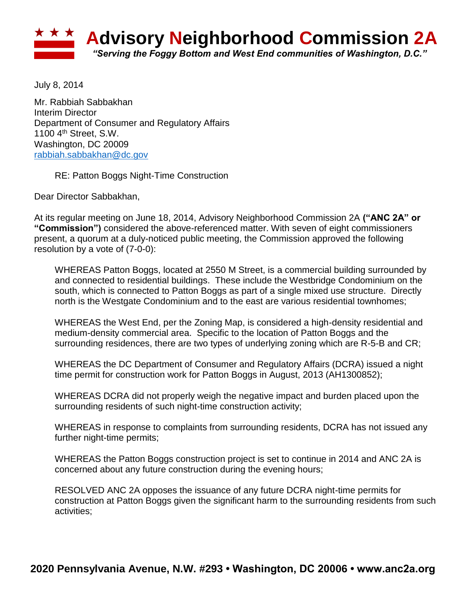

July 8, 2014

Mr. Rabbiah Sabbakhan Interim Director Department of Consumer and Regulatory Affairs 1100 4th Street, S.W. Washington, DC 20009 [rabbiah.sabbakhan@dc.gov](mailto:rabbiah.sabbakhan@dc.gov)

RE: Patton Boggs Night-Time Construction

Dear Director Sabbakhan,

At its regular meeting on June 18, 2014, Advisory Neighborhood Commission 2A **("ANC 2A" or "Commission")** considered the above-referenced matter. With seven of eight commissioners present, a quorum at a duly-noticed public meeting, the Commission approved the following resolution by a vote of (7-0-0):

WHEREAS Patton Boggs, located at 2550 M Street, is a commercial building surrounded by and connected to residential buildings. These include the Westbridge Condominium on the south, which is connected to Patton Boggs as part of a single mixed use structure. Directly north is the Westgate Condominium and to the east are various residential townhomes;

WHEREAS the West End, per the Zoning Map, is considered a high-density residential and medium-density commercial area. Specific to the location of Patton Boggs and the surrounding residences, there are two types of underlying zoning which are R-5-B and CR;

WHEREAS the DC Department of Consumer and Regulatory Affairs (DCRA) issued a night time permit for construction work for Patton Boggs in August, 2013 (AH1300852);

WHEREAS DCRA did not properly weigh the negative impact and burden placed upon the surrounding residents of such night-time construction activity;

WHEREAS in response to complaints from surrounding residents, DCRA has not issued any further night-time permits;

WHEREAS the Patton Boggs construction project is set to continue in 2014 and ANC 2A is concerned about any future construction during the evening hours;

RESOLVED ANC 2A opposes the issuance of any future DCRA night-time permits for construction at Patton Boggs given the significant harm to the surrounding residents from such activities;